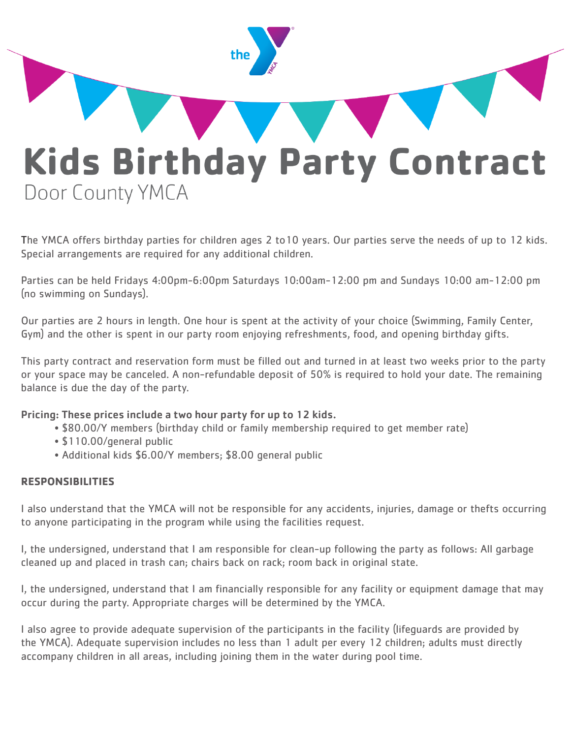

The YMCA offers birthday parties for children ages 2 to10 years. Our parties serve the needs of up to 12 kids. Special arrangements are required for any additional children.

Parties can be held Fridays 4:00pm-6:00pm Saturdays 10:00am-12:00 pm and Sundays 10:00 am-12:00 pm (no swimming on Sundays).

Our parties are 2 hours in length. One hour is spent at the activity of your choice (Swimming, Family Center, Gym) and the other is spent in our party room enjoying refreshments, food, and opening birthday gifts.

This party contract and reservation form must be filled out and turned in at least two weeks prior to the party or your space may be canceled. A non-refundable deposit of 50% is required to hold your date. The remaining balance is due the day of the party.

#### Pricing: These prices include a two hour party for up to 12 kids.

- \$80.00/Y members (birthday child or family membership required to get member rate)
- \$110.00/general public
- Additional kids \$6.00/Y members; \$8.00 general public

#### **RESPONSIBILITIES**

I also understand that the YMCA will not be responsible for any accidents, injuries, damage or thefts occurring to anyone participating in the program while using the facilities request.

I, the undersigned, understand that I am responsible for clean-up following the party as follows: All garbage cleaned up and placed in trash can; chairs back on rack; room back in original state.

I, the undersigned, understand that I am financially responsible for any facility or equipment damage that may occur during the party. Appropriate charges will be determined by the YMCA.

I also agree to provide adequate supervision of the participants in the facility (lifeguards are provided by the YMCA). Adequate supervision includes no less than 1 adult per every 12 children; adults must directly accompany children in all areas, including joining them in the water during pool time.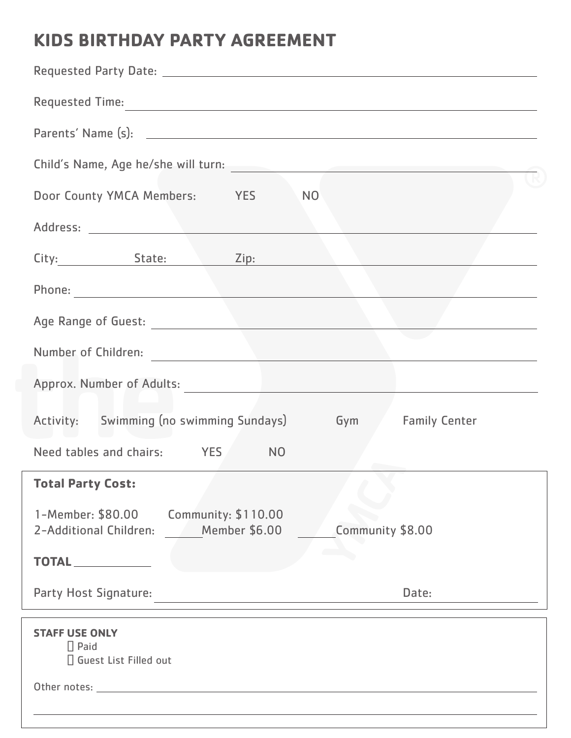## **KIDS BIRTHDAY PARTY AGREEMENT**

| Child's Name, Age he/she will turn:                                                                                                                                                                                            |
|--------------------------------------------------------------------------------------------------------------------------------------------------------------------------------------------------------------------------------|
| Door County YMCA Members: YES NO                                                                                                                                                                                               |
|                                                                                                                                                                                                                                |
| City: State: Zip:                                                                                                                                                                                                              |
|                                                                                                                                                                                                                                |
| Age Range of Guest: New York 1988 and 1989 and 1989 and 1989 and 1989 and 1989 and 1989 and 1989 and 1989 and 1989 and 1989 and 1989 and 1989 and 1989 and 1989 and 1989 and 1989 and 1989 and 1989 and 1989 and 1989 and 1989 |
| Number of Children: Number of Children:                                                                                                                                                                                        |
| Approx. Number of Adults: New York School of Adults:                                                                                                                                                                           |
| Activity: Swimming (no swimming Sundays) Gym Family Center                                                                                                                                                                     |
| Need tables and chairs: YES NO                                                                                                                                                                                                 |
| <b>Total Party Cost: Cost: Cost: Cost: Cost: Cost: Cost: Cost: Cost: Cost: Cost: Cost: Cost: Cost: Cost: Cost: Cost: Cost: Cost: Cost: Cost: Cost: Cost: Cost: Cost: Cost: C</b>                                               |
| 1-Member: \$80.00<br>Community: \$110.00<br><b>Member \$6.00</b><br>Community \$8.00<br>2-Additional Children:                                                                                                                 |
| <b>TOTAL</b>                                                                                                                                                                                                                   |
| Party Host Signature:<br>Date:                                                                                                                                                                                                 |
| <b>STAFF USE ONLY</b><br>$\prod$ Paid<br>□ Guest List Filled out                                                                                                                                                               |
| Other notes: with the contract of the contract of the contract of the contract of the contract of the contract of the contract of the contract of the contract of the contract of the contract of the contract of the contract |
|                                                                                                                                                                                                                                |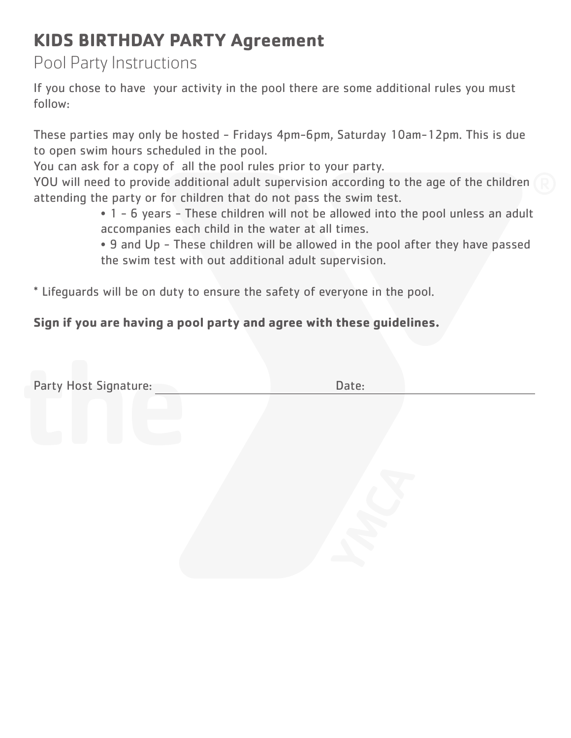# **KIDS BIRTHDAY PARTY Agreement**

Pool Party Instructions

If you chose to have your activity in the pool there are some additional rules you must follow:

These parties may only be hosted - Fridays 4pm-6pm, Saturday 10am-12pm. This is due to open swim hours scheduled in the pool.

You can ask for a copy of all the pool rules prior to your party.

YOU will need to provide additional adult supervision according to the age of the children attending the party or for children that do not pass the swim test.

 • 1 - 6 years - These children will not be allowed into the pool unless an adult accompanies each child in the water at all times.

 • 9 and Up - These children will be allowed in the pool after they have passed the swim test with out additional adult supervision.

\* Lifeguards will be on duty to ensure the safety of everyone in the pool.

### **Sign if you are having a pool party and agree with these guidelines.**

| Party Host Signature: | Date: |  |
|-----------------------|-------|--|
|                       |       |  |
|                       |       |  |
|                       |       |  |
|                       |       |  |
|                       |       |  |
|                       |       |  |
|                       |       |  |
|                       |       |  |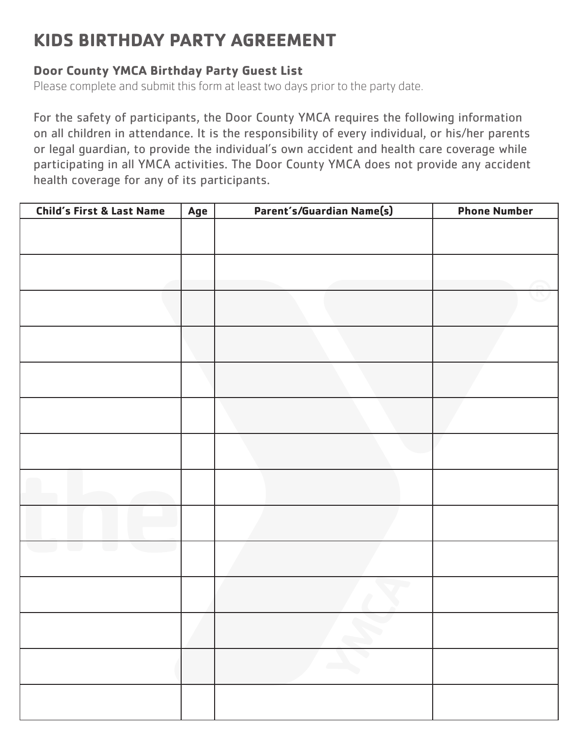# **KIDS BIRTHDAY PARTY AGREEMENT**

### **Door County YMCA Birthday Party Guest List**

Please complete and submit this form at least two days prior to the party date.

For the safety of participants, the Door County YMCA requires the following information on all children in attendance. It is the responsibility of every individual, or his/her parents or legal guardian, to provide the individual's own accident and health care coverage while participating in all YMCA activities. The Door County YMCA does not provide any accident health coverage for any of its participants.

| <b>Child's First &amp; Last Name</b> | Age | Parent's/Guardian Name(s)   | <b>Phone Number</b> |
|--------------------------------------|-----|-----------------------------|---------------------|
|                                      |     |                             |                     |
|                                      |     |                             |                     |
|                                      |     |                             |                     |
|                                      |     |                             |                     |
|                                      |     |                             |                     |
|                                      |     |                             |                     |
|                                      |     |                             |                     |
|                                      |     |                             |                     |
|                                      |     |                             |                     |
|                                      |     |                             |                     |
|                                      |     |                             |                     |
|                                      |     |                             |                     |
|                                      |     |                             |                     |
|                                      |     | $\mathcal{L}_{\mathcal{L}}$ |                     |
|                                      |     | <b>Contract</b>             |                     |
|                                      |     |                             |                     |